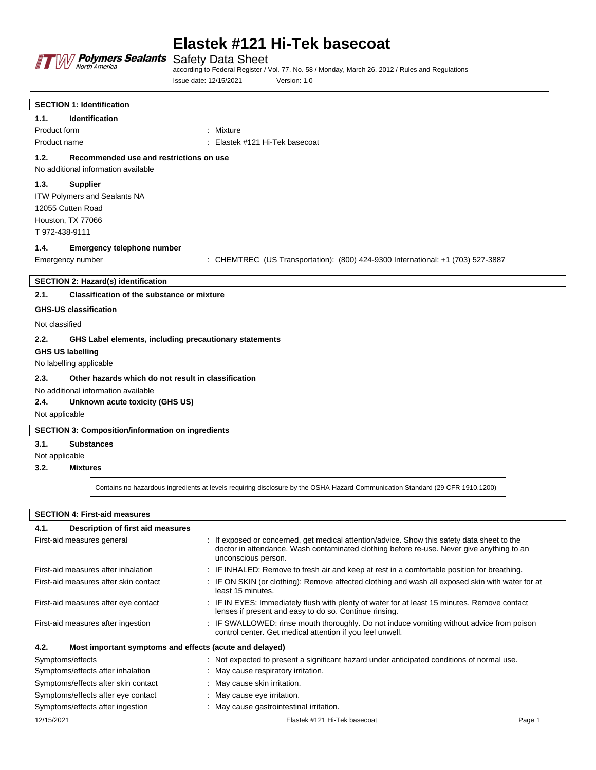

# **Elastek #121 Hi-Tek basecoat**

according to Federal Register / Vol. 77, No. 58 / Monday, March 26, 2012 / Rules and Regulations Issue date: 12/15/2021 Version: 1.0

| <b>SECTION 1: Identification</b>                               |                                                                                 |
|----------------------------------------------------------------|---------------------------------------------------------------------------------|
| Identification<br>1.1.                                         |                                                                                 |
| Product form                                                   | : Mixture                                                                       |
| Product name                                                   | : Elastek #121 Hi-Tek basecoat                                                  |
| 1.2.<br>Recommended use and restrictions on use                |                                                                                 |
| No additional information available                            |                                                                                 |
| 1.3.<br><b>Supplier</b>                                        |                                                                                 |
| ITW Polymers and Sealants NA                                   |                                                                                 |
| 12055 Cutten Road                                              |                                                                                 |
| Houston, TX 77066                                              |                                                                                 |
| T 972-438-9111                                                 |                                                                                 |
| 1.4.<br>Emergency telephone number                             |                                                                                 |
| Emergency number                                               | : CHEMTREC (US Transportation): (800) 424-9300 International: +1 (703) 527-3887 |
| <b>SECTION 2: Hazard(s) identification</b>                     |                                                                                 |
| 2.1.<br>Classification of the substance or mixture             |                                                                                 |
| <b>GHS-US classification</b>                                   |                                                                                 |
|                                                                |                                                                                 |
| Not classified                                                 |                                                                                 |
| 2.2.<br>GHS Label elements, including precautionary statements |                                                                                 |
| <b>GHS US labelling</b>                                        |                                                                                 |
| No labelling applicable                                        |                                                                                 |
| 2.3.<br>Other hazards which do not result in classification    |                                                                                 |
| No additional information available                            |                                                                                 |
| 2.4.<br>Unknown acute toxicity (GHS US)                        |                                                                                 |
| Not applicable                                                 |                                                                                 |
| <b>SECTION 3: Composition/information on ingredients</b>       |                                                                                 |
| 3.1.<br><b>Substances</b>                                      |                                                                                 |
| Not applicable                                                 |                                                                                 |
| 3.2.<br><b>Mixtures</b>                                        |                                                                                 |
|                                                                |                                                                                 |

Contains no hazardous ingredients at levels requiring disclosure by the OSHA Hazard Communication Standard (29 CFR 1910.1200)

**SECTION 4: First-aid measures**

| Description of first aid measures<br>4.1.                       |                                                                                                                                                                                                                 |        |
|-----------------------------------------------------------------|-----------------------------------------------------------------------------------------------------------------------------------------------------------------------------------------------------------------|--------|
| First-aid measures general                                      | : If exposed or concerned, get medical attention/advice. Show this safety data sheet to the<br>doctor in attendance. Wash contaminated clothing before re-use. Never give anything to an<br>unconscious person. |        |
| First-aid measures after inhalation                             | : IF INHALED: Remove to fresh air and keep at rest in a comfortable position for breathing.                                                                                                                     |        |
| First-aid measures after skin contact                           | : IF ON SKIN (or clothing): Remove affected clothing and wash all exposed skin with water for at<br>least 15 minutes.                                                                                           |        |
| First-aid measures after eye contact                            | : IF IN EYES: Immediately flush with plenty of water for at least 15 minutes. Remove contact<br>lenses if present and easy to do so. Continue rinsing.                                                          |        |
| First-aid measures after ingestion                              | : IF SWALLOWED: rinse mouth thoroughly. Do not induce vomiting without advice from poison<br>control center. Get medical attention if you feel unwell.                                                          |        |
| 4.2.<br>Most important symptoms and effects (acute and delayed) |                                                                                                                                                                                                                 |        |
| Symptoms/effects                                                | : Not expected to present a significant hazard under anticipated conditions of normal use.                                                                                                                      |        |
| Symptoms/effects after inhalation                               | : May cause respiratory irritation.                                                                                                                                                                             |        |
| Symptoms/effects after skin contact                             | : May cause skin irritation.                                                                                                                                                                                    |        |
| Symptoms/effects after eye contact                              | : May cause eye irritation.                                                                                                                                                                                     |        |
| Symptoms/effects after ingestion                                | : May cause gastrointestinal irritation.                                                                                                                                                                        |        |
| 12/15/2021                                                      | Elastek #121 Hi-Tek basecoat                                                                                                                                                                                    | Page 1 |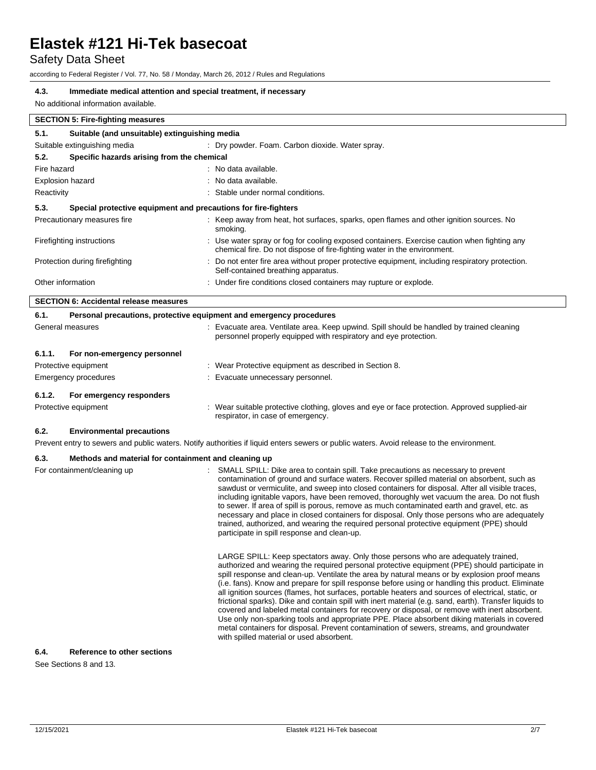Safety Data Sheet

according to Federal Register / Vol. 77, No. 58 / Monday, March 26, 2012 / Rules and Regulations

## **4.3. Immediate medical attention and special treatment, if necessary**

No additional information available.

| 5.1.                    | Suitable (and unsuitable) extinguishing media |                                                                                                                                                                         |
|-------------------------|-----------------------------------------------|-------------------------------------------------------------------------------------------------------------------------------------------------------------------------|
|                         | Suitable extinguishing media                  | : Dry powder. Foam. Carbon dioxide. Water spray.                                                                                                                        |
| 5.2.                    | Specific hazards arising from the chemical    |                                                                                                                                                                         |
| Fire hazard             |                                               | : No data available.                                                                                                                                                    |
| <b>Explosion hazard</b> |                                               | : No data available.                                                                                                                                                    |
| Reactivity              |                                               | : Stable under normal conditions.                                                                                                                                       |
| 5.3.                    |                                               | Special protective equipment and precautions for fire-fighters                                                                                                          |
|                         | Precautionary measures fire                   | : Keep away from heat, hot surfaces, sparks, open flames and other ignition sources. No<br>smoking.                                                                     |
|                         | Firefighting instructions                     | : Use water spray or fog for cooling exposed containers. Exercise caution when fighting any<br>chemical fire. Do not dispose of fire-fighting water in the environment. |
|                         | Protection during firefighting                | : Do not enter fire area without proper protective equipment, including respiratory protection.<br>Self-contained breathing apparatus.                                  |
|                         | Other information                             | : Under fire conditions closed containers may rupture or explode.                                                                                                       |

| 6.1.   | Personal precautions, protective equipment and emergency procedures |  |                                                                                                                                                               |
|--------|---------------------------------------------------------------------|--|---------------------------------------------------------------------------------------------------------------------------------------------------------------|
|        | General measures                                                    |  | : Evacuate area. Ventilate area. Keep upwind. Spill should be handled by trained cleaning<br>personnel properly equipped with respiratory and eye protection. |
| 6.1.1. | For non-emergency personnel                                         |  |                                                                                                                                                               |
|        | Protective equipment                                                |  | : Wear Protective equipment as described in Section 8.                                                                                                        |
|        | Emergency procedures                                                |  | : Evacuate unnecessary personnel.                                                                                                                             |
| 6.1.2. | For emergency responders                                            |  |                                                                                                                                                               |
|        | Protective equipment                                                |  | : Wear suitable protective clothing, gloves and eye or face protection. Approved supplied-air<br>respirator, in case of emergency.                            |

#### **6.2. Environmental precautions**

Prevent entry to sewers and public waters. Notify authorities if liquid enters sewers or public waters. Avoid release to the environment.

### **6.3. Methods and material for containment and cleaning up**

| For containment/cleaning up | SMALL SPILL: Dike area to contain spill. Take precautions as necessary to prevent<br>contamination of ground and surface waters. Recover spilled material on absorbent, such as<br>sawdust or vermiculite, and sweep into closed containers for disposal. After all visible traces,<br>including ignitable vapors, have been removed, thoroughly wet vacuum the area. Do not flush<br>to sewer. If area of spill is porous, remove as much contaminated earth and gravel, etc. as                                                                                                                                                                                                                                                                                                                                                                                                                                                                 |
|-----------------------------|---------------------------------------------------------------------------------------------------------------------------------------------------------------------------------------------------------------------------------------------------------------------------------------------------------------------------------------------------------------------------------------------------------------------------------------------------------------------------------------------------------------------------------------------------------------------------------------------------------------------------------------------------------------------------------------------------------------------------------------------------------------------------------------------------------------------------------------------------------------------------------------------------------------------------------------------------|
|                             | necessary and place in closed containers for disposal. Only those persons who are adequately<br>trained, authorized, and wearing the required personal protective equipment (PPE) should<br>participate in spill response and clean-up.                                                                                                                                                                                                                                                                                                                                                                                                                                                                                                                                                                                                                                                                                                           |
|                             | LARGE SPILL: Keep spectators away. Only those persons who are adequately trained.<br>authorized and wearing the required personal protective equipment (PPE) should participate in<br>spill response and clean-up. Ventilate the area by natural means or by explosion proof means<br>(i.e. fans). Know and prepare for spill response before using or handling this product. Eliminate<br>all ignition sources (flames, hot surfaces, portable heaters and sources of electrical, static, or<br>frictional sparks). Dike and contain spill with inert material (e.g. sand, earth). Transfer liquids to<br>covered and labeled metal containers for recovery or disposal, or remove with inert absorbent.<br>Use only non-sparking tools and appropriate PPE. Place absorbent diking materials in covered<br>metal containers for disposal. Prevent contamination of sewers, streams, and groundwater<br>with spilled material or used absorbent. |

#### **6.4. Reference to other sections**

See Sections 8 and 13.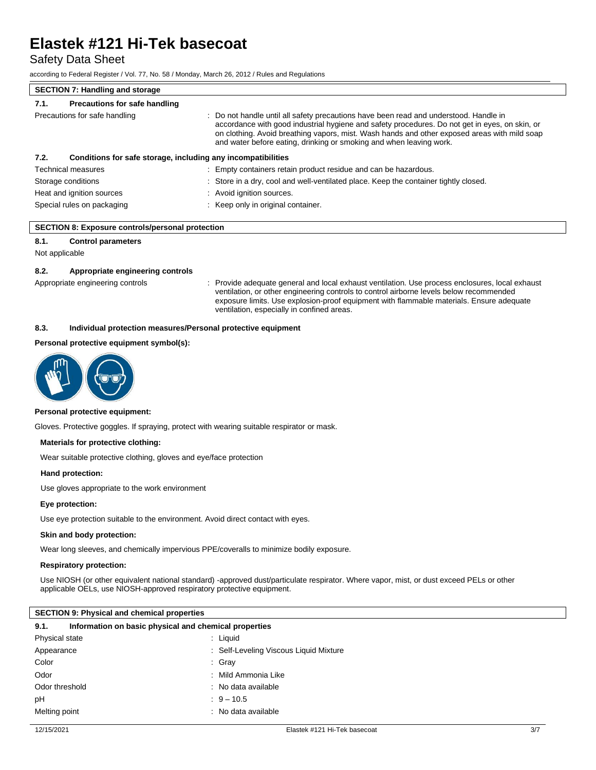Safety Data Sheet

according to Federal Register / Vol. 77, No. 58 / Monday, March 26, 2012 / Rules and Regulations

## **SECTION 7: Handling and storage 7.1. Precautions for safe handling** Precautions for safe handling **interest in the safety precautions** have been read and understood. Handle in accordance with good industrial hygiene and safety procedures. Do not get in eyes, on skin, or on clothing. Avoid breathing vapors, mist. Wash hands and other exposed areas with mild soap and water before eating, drinking or smoking and when leaving work. **7.2. Conditions for safe storage, including any incompatibilities** Technical measures : Empty containers retain product residue and can be hazardous. Storage conditions **in the conditions** : Store in a dry, cool and well-ventilated place. Keep the container tightly closed. Heat and ignition sources : Avoid ignition sources. Special rules on packaging **interest and the Container** : Keep only in original container.

#### **SECTION 8: Exposure controls/personal protection**

### **8.1. Control parameters**

Not applicable

#### **8.2. Appropriate engineering controls**

Appropriate engineering controls : Provide adequate general and local exhaust ventilation. Use process enclosures, local exhaust ventilation, or other engineering controls to control airborne levels below recommended exposure limits. Use explosion-proof equipment with flammable materials. Ensure adequate ventilation, especially in confined areas.

#### **8.3. Individual protection measures/Personal protective equipment**

#### **Personal protective equipment symbol(s):**



#### **Personal protective equipment:**

Gloves. Protective goggles. If spraying, protect with wearing suitable respirator or mask.

#### **Materials for protective clothing:**

Wear suitable protective clothing, gloves and eye/face protection

#### **Hand protection:**

Use gloves appropriate to the work environment

#### **Eye protection:**

Use eye protection suitable to the environment. Avoid direct contact with eyes.

## **Skin and body protection:**

Wear long sleeves, and chemically impervious PPE/coveralls to minimize bodily exposure.

#### **Respiratory protection:**

Use NIOSH (or other equivalent national standard) -approved dust/particulate respirator. Where vapor, mist, or dust exceed PELs or other applicable OELs, use NIOSH-approved respiratory protective equipment.

### **SECTION 9: Physical and chemical properties**

| 9.1.           | Information on basic physical and chemical properties |
|----------------|-------------------------------------------------------|
| Physical state | : Liguid                                              |
| Appearance     | : Self-Leveling Viscous Liquid Mixture                |
| Color          | : Gray                                                |
| Odor           | : Mild Ammonia Like                                   |
| Odor threshold | : No data available                                   |
| pH             | $9 - 10.5$                                            |
| Melting point  | : No data available                                   |
|                |                                                       |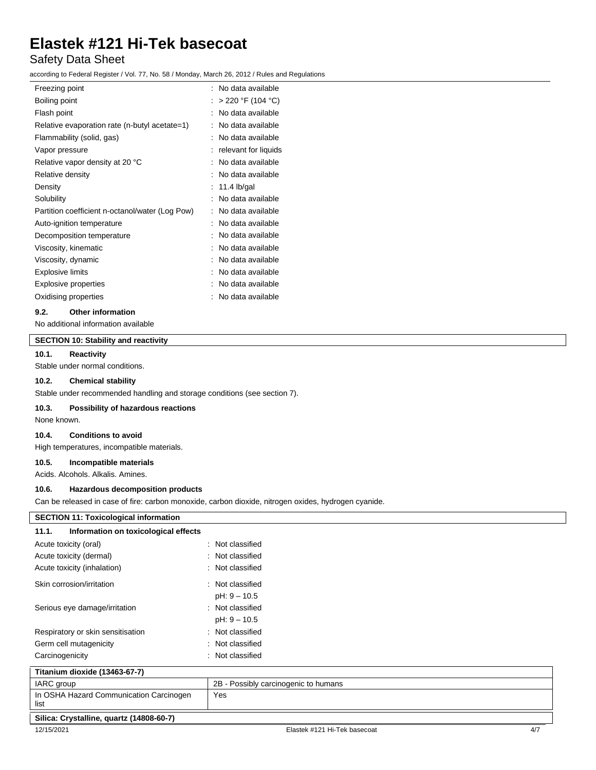# Safety Data Sheet

according to Federal Register / Vol. 77, No. 58 / Monday, March 26, 2012 / Rules and Regulations

| Freezing point                                  | No data available<br>٠. |
|-------------------------------------------------|-------------------------|
| Boiling point                                   | > 220 °F (104 °C)       |
| Flash point                                     | No data available       |
| Relative evaporation rate (n-butyl acetate=1)   | No data available       |
| Flammability (solid, gas)                       | No data available       |
| Vapor pressure                                  | relevant for liquids    |
| Relative vapor density at 20 °C                 | No data available       |
| Relative density                                | No data available       |
| Density                                         | 11.4 $lb/gal$           |
| Solubility                                      | No data available       |
| Partition coefficient n-octanol/water (Log Pow) | No data available       |
| Auto-ignition temperature                       | No data available       |
| Decomposition temperature                       | No data available       |
| Viscosity, kinematic                            | No data available       |
| Viscosity, dynamic                              | No data available       |
| <b>Explosive limits</b>                         | No data available       |
| <b>Explosive properties</b>                     | No data available       |
| Oxidising properties                            | No data available       |
|                                                 |                         |

## **9.2. Other information**

No additional information available

# **SECTION 10: Stability and reactivity**

### **10.1. Reactivity**

Stable under normal conditions.

## **10.2. Chemical stability**

Stable under recommended handling and storage conditions (see section 7).

#### **10.3. Possibility of hazardous reactions**

None known.

### **10.4. Conditions to avoid**

High temperatures, incompatible materials.

#### **10.5. Incompatible materials**

Acids. Alcohols. Alkalis. Amines.

#### **10.6. Hazardous decomposition products**

Can be released in case of fire: carbon monoxide, carbon dioxide, nitrogen oxides, hydrogen cyanide.

| <b>SECTION 11: Toxicological information</b>    |                                      |     |
|-------------------------------------------------|--------------------------------------|-----|
| Information on toxicological effects<br>11.1.   |                                      |     |
| Acute toxicity (oral)                           | : Not classified                     |     |
| Acute toxicity (dermal)                         | : Not classified                     |     |
| Acute toxicity (inhalation)                     | : Not classified                     |     |
| Skin corrosion/irritation                       | : Not classified                     |     |
|                                                 | pH: 9 - 10.5                         |     |
| Serious eye damage/irritation                   | : Not classified                     |     |
|                                                 | pH: 9 - 10.5                         |     |
| Respiratory or skin sensitisation               | : Not classified                     |     |
| Germ cell mutagenicity                          | : Not classified                     |     |
| Carcinogenicity                                 | : Not classified                     |     |
| Titanium dioxide (13463-67-7)                   |                                      |     |
| IARC group                                      | 2B - Possibly carcinogenic to humans |     |
| In OSHA Hazard Communication Carcinogen<br>list | Yes                                  |     |
| Silica: Crystalline, quartz (14808-60-7)        |                                      |     |
| 12/15/2021                                      | Elastek #121 Hi-Tek basecoat         | 4/7 |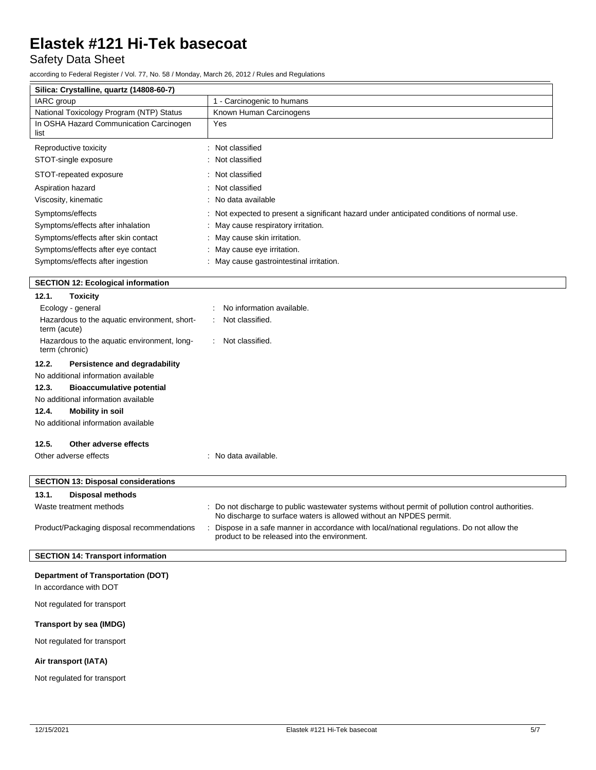Safety Data Sheet

according to Federal Register / Vol. 77, No. 58 / Monday, March 26, 2012 / Rules and Regulations

| Silica: Crystalline, quartz (14808-60-7)                      |                                                                                                                                                                        |
|---------------------------------------------------------------|------------------------------------------------------------------------------------------------------------------------------------------------------------------------|
| IARC group                                                    | 1 - Carcinogenic to humans                                                                                                                                             |
| National Toxicology Program (NTP) Status                      | Known Human Carcinogens                                                                                                                                                |
| In OSHA Hazard Communication Carcinogen<br>list               | Yes                                                                                                                                                                    |
| Reproductive toxicity                                         | : Not classified                                                                                                                                                       |
| STOT-single exposure                                          | : Not classified                                                                                                                                                       |
| STOT-repeated exposure                                        | : Not classified                                                                                                                                                       |
| Aspiration hazard                                             | : Not classified                                                                                                                                                       |
| Viscosity, kinematic                                          | No data available                                                                                                                                                      |
| Symptoms/effects                                              | Not expected to present a significant hazard under anticipated conditions of normal use.                                                                               |
| Symptoms/effects after inhalation                             | May cause respiratory irritation.                                                                                                                                      |
| Symptoms/effects after skin contact                           | : May cause skin irritation.                                                                                                                                           |
| Symptoms/effects after eye contact                            | : May cause eye irritation.                                                                                                                                            |
| Symptoms/effects after ingestion                              | : May cause gastrointestinal irritation.                                                                                                                               |
| <b>SECTION 12: Ecological information</b>                     |                                                                                                                                                                        |
| 12.1.<br><b>Toxicity</b>                                      |                                                                                                                                                                        |
| Ecology - general                                             | No information available.                                                                                                                                              |
|                                                               |                                                                                                                                                                        |
| Hazardous to the aquatic environment, short-<br>term (acute)  | Not classified.                                                                                                                                                        |
| Hazardous to the aquatic environment, long-<br>term (chronic) | Not classified.                                                                                                                                                        |
| 12.2.<br>Persistence and degradability                        |                                                                                                                                                                        |
| No additional information available                           |                                                                                                                                                                        |
| 12.3.<br><b>Bioaccumulative potential</b>                     |                                                                                                                                                                        |
| No additional information available                           |                                                                                                                                                                        |
| 12.4.<br><b>Mobility in soil</b>                              |                                                                                                                                                                        |
| No additional information available                           |                                                                                                                                                                        |
| 12.5.<br>Other adverse effects                                |                                                                                                                                                                        |
| Other adverse effects                                         | : No data available.                                                                                                                                                   |
|                                                               |                                                                                                                                                                        |
| <b>SECTION 13: Disposal considerations</b>                    |                                                                                                                                                                        |
| 13.1.<br><b>Disposal methods</b>                              |                                                                                                                                                                        |
| Waste treatment methods                                       | : Do not discharge to public wastewater systems without permit of pollution control authorities.<br>No discharge to surface waters is allowed without an NPDES permit. |
| Product/Packaging disposal recommendations                    | Dispose in a safe manner in accordance with local/national regulations. Do not allow the<br>product to be released into the environment.                               |
| <b>SECTION 14: Transport information</b>                      |                                                                                                                                                                        |
|                                                               |                                                                                                                                                                        |
| <b>Department of Transportation (DOT)</b>                     |                                                                                                                                                                        |
| In accordance with DOT                                        |                                                                                                                                                                        |
| Not regulated for transport                                   |                                                                                                                                                                        |
| <b>Transport by sea (IMDG)</b>                                |                                                                                                                                                                        |
|                                                               |                                                                                                                                                                        |

## **Air transport (IATA)**

Not regulated for transport

 $\overline{\phantom{a}}$ 

 $\overline{\phantom{a}}$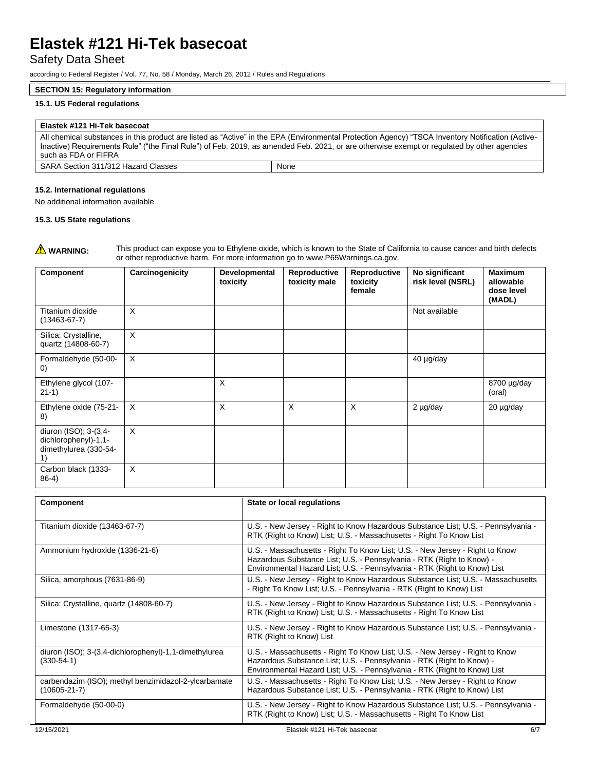## Safety Data Sheet

according to Federal Register / Vol. 77, No. 58 / Monday, March 26, 2012 / Rules and Regulations

### **SECTION 15: Regulatory information**

### **15.1. US Federal regulations**

## **Elastek #121 Hi-Tek basecoat**

All chemical substances in this product are listed as "Active" in the EPA (Environmental Protection Agency) "TSCA Inventory Notification (Active-Inactive) Requirements Rule" ("the Final Rule") of Feb. 2019, as amended Feb. 2021, or are otherwise exempt or regulated by other agencies such as FDA or FIFRA SARA Section 311/312 Hazard Classes | None

| 15.2. International regulations |  |
|---------------------------------|--|
|---------------------------------|--|

No additional information available

### **15.3. US State regulations**

**A WARNING:** This product can expose you to Ethylene oxide, which is known to the State of California to cause cancer and birth defects or other reproductive harm. For more information go to www.P65Warnings.ca.gov.

| Component                                                                    | Carcinogenicity | Developmental<br>toxicity | Reproductive<br>toxicity male | Reproductive<br>toxicity<br>female | No significant<br>risk level (NSRL) | <b>Maximum</b><br>allowable<br>dose level<br>(MADL) |
|------------------------------------------------------------------------------|-----------------|---------------------------|-------------------------------|------------------------------------|-------------------------------------|-----------------------------------------------------|
| Titanium dioxide<br>$(13463 - 67 - 7)$                                       | X               |                           |                               |                                    | Not available                       |                                                     |
| Silica: Crystalline,<br>quartz (14808-60-7)                                  | X               |                           |                               |                                    |                                     |                                                     |
| Formaldehyde (50-00-<br>$\left( 0\right)$                                    | X               |                           |                               |                                    | 40 µg/day                           |                                                     |
| Ethylene glycol (107-<br>$21-1)$                                             |                 | X                         |                               |                                    |                                     | 8700 µg/day<br>(oral)                               |
| Ethylene oxide (75-21-<br>8)                                                 | $\times$        | $\times$                  | $\times$                      | X                                  | $2 \mu g/day$                       | 20 µg/day                                           |
| diuron (ISO); 3-(3,4-<br>dichlorophenyl)-1,1-<br>dimethylurea (330-54-<br>1) | X               |                           |                               |                                    |                                     |                                                     |
| Carbon black (1333-<br>$86-4)$                                               | X               |                           |                               |                                    |                                     |                                                     |

| Component                                                                  | State or local regulations                                                                                                                                                                                                         |
|----------------------------------------------------------------------------|------------------------------------------------------------------------------------------------------------------------------------------------------------------------------------------------------------------------------------|
| Titanium dioxide (13463-67-7)                                              | U.S. - New Jersey - Right to Know Hazardous Substance List; U.S. - Pennsylvania -<br>RTK (Right to Know) List; U.S. - Massachusetts - Right To Know List                                                                           |
| Ammonium hydroxide (1336-21-6)                                             | U.S. - Massachusetts - Right To Know List; U.S. - New Jersey - Right to Know<br>Hazardous Substance List; U.S. - Pennsylvania - RTK (Right to Know) -<br>Environmental Hazard List; U.S. - Pennsylvania - RTK (Right to Know) List |
| Silica, amorphous (7631-86-9)                                              | U.S. - New Jersey - Right to Know Hazardous Substance List; U.S. - Massachusetts<br>- Right To Know List; U.S. - Pennsylvania - RTK (Right to Know) List                                                                           |
| Silica: Crystalline, quartz (14808-60-7)                                   | U.S. - New Jersey - Right to Know Hazardous Substance List; U.S. - Pennsylvania -<br>RTK (Right to Know) List; U.S. - Massachusetts - Right To Know List                                                                           |
| Limestone (1317-65-3)                                                      | U.S. - New Jersey - Right to Know Hazardous Substance List; U.S. - Pennsylvania -<br>RTK (Right to Know) List                                                                                                                      |
| diuron (ISO); 3-(3,4-dichlorophenyl)-1,1-dimethylurea<br>$(330-54-1)$      | U.S. - Massachusetts - Right To Know List; U.S. - New Jersey - Right to Know<br>Hazardous Substance List; U.S. - Pennsylvania - RTK (Right to Know) -<br>Environmental Hazard List; U.S. - Pennsylvania - RTK (Right to Know) List |
| carbendazim (ISO); methyl benzimidazol-2-ylcarbamate<br>$(10605 - 21 - 7)$ | U.S. - Massachusetts - Right To Know List; U.S. - New Jersey - Right to Know<br>Hazardous Substance List; U.S. - Pennsylvania - RTK (Right to Know) List                                                                           |
| Formaldehyde (50-00-0)                                                     | U.S. - New Jersey - Right to Know Hazardous Substance List; U.S. - Pennsylvania -<br>RTK (Right to Know) List; U.S. - Massachusetts - Right To Know List                                                                           |